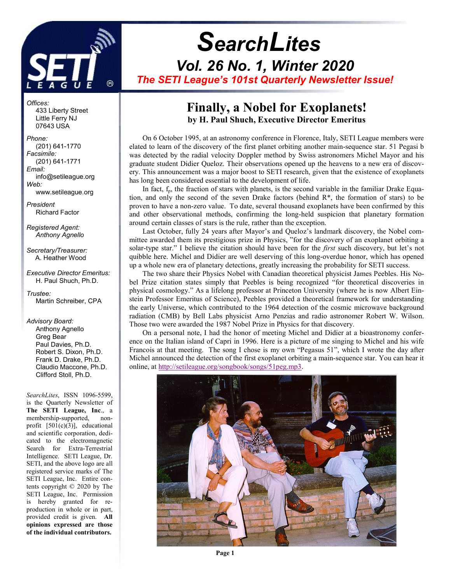

j

**SearchLites** Vol. 26 No. 1, Winter 2020 The SETI League's 101st Quarterly Newsletter Issue!

Offices: 433 Liberty Street Little Ferry NJ 07643 USA

Phone: (201) 641-1770 Facsimile: (201) 641-1771 Email: info@setileague.org Web: www.setileague.org

President Richard Factor

Registered Agent: Anthony Agnello

Secretary/Treasurer: A. Heather Wood

Executive Director Emeritus: H. Paul Shuch, Ph.D.

Trustee: Martin Schreiber, CPA

#### Advisory Board:

 Anthony Agnello Greg Bear Paul Davies, Ph.D. Robert S. Dixon, Ph.D. Frank D. Drake, Ph.D. Claudio Maccone, Ph.D. Clifford Stoll, Ph.D.

SearchLites, ISSN 1096-5599, is the Quarterly Newsletter of The SETI League, Inc., a membership-supported, nonprofit [501(c)(3)], educational and scientific corporation, dedicated to the electromagnetic Search for Extra-Terrestrial Intelligence. SETI League, Dr. SETI, and the above logo are all registered service marks of The SETI League, Inc. Entire contents copyright © 2020 by The SETI League, Inc. Permission is hereby granted for reproduction in whole or in part, provided credit is given. All opinions expressed are those of the individual contributors.

## Finally, a Nobel for Exoplanets! by H. Paul Shuch, Executive Director Emeritus

On 6 October 1995, at an astronomy conference in Florence, Italy, SETI League members were elated to learn of the discovery of the first planet orbiting another main-sequence star. 51 Pegasi b was detected by the radial velocity Doppler method by Swiss astronomers Michel Mayor and his graduate student Didier Queloz. Their observations opened up the heavens to a new era of discovery. This announcement was a major boost to SETI research, given that the existence of exoplanets has long been considered essential to the development of life.

In fact, f<sub>p</sub>, the fraction of stars with planets, is the second variable in the familiar Drake Equation, and only the second of the seven Drake factors (behind R\*, the formation of stars) to be proven to have a non-zero value. To date, several thousand exoplanets have been confirmed by this and other observational methods, confirming the long-held suspicion that planetary formation around certain classes of stars is the rule, rather than the exception.

Last October, fully 24 years after Mayor's and Queloz's landmark discovery, the Nobel committee awarded them its prestigious prize in Physics, "for the discovery of an exoplanet orbiting a solar-type star." I believe the citation should have been for the *first* such discovery, but let's not quibble here. Michel and Didier are well deserving of this long-overdue honor, which has opened up a whole new era of planetary detections, greatly increasing the probability for SETI success.

The two share their Physics Nobel with Canadian theoretical physicist James Peebles. His Nobel Prize citation states simply that Peebles is being recognized "for theoretical discoveries in physical cosmology." As a lifelong professor at Princeton University (where he is now Albert Einstein Professor Emeritus of Science), Peebles provided a theoretical framework for understanding the early Universe, which contributed to the 1964 detection of the cosmic microwave background radiation (CMB) by Bell Labs physicist Arno Penzias and radio astronomer Robert W. Wilson. Those two were awarded the 1987 Nobel Prize in Physics for that discovery.

On a personal note, I had the honor of meeting Michel and Didier at a bioastronomy conference on the Italian island of Capri in 1996. Here is a picture of me singing to Michel and his wife Francois at that meeting. The song I chose is my own "Pegasus 51", which I wrote the day after Michel announced the detection of the first exoplanet orbiting a main-sequence star. You can hear it online, at http://setileague.org/songbook/songs/51peg.mp3.

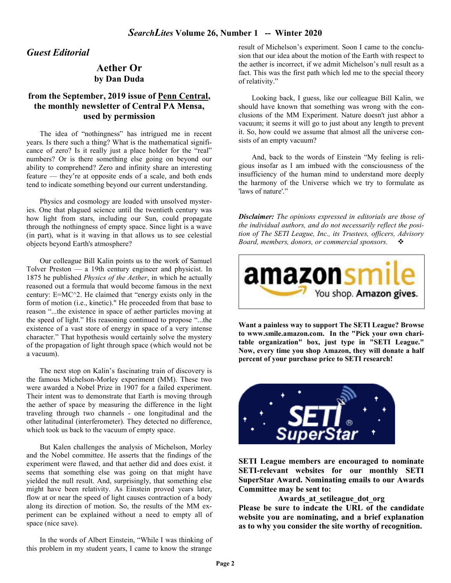Guest Editorial

### Aether Or by Dan Duda

#### from the September, 2019 issue of Penn Central, the monthly newsletter of Central PA Mensa, used by permission

The idea of "nothingness" has intrigued me in recent years. Is there such a thing? What is the mathematical significance of zero? Is it really just a place holder for the "real" numbers? Or is there something else going on beyond our ability to comprehend? Zero and infinity share an interesting feature — they're at opposite ends of a scale, and both ends tend to indicate something beyond our current understanding.

Physics and cosmology are loaded with unsolved mysteries. One that plagued science until the twentieth century was how light from stars, including our Sun, could propagate through the nothingness of empty space. Since light is a wave (in part), what is it waving in that allows us to see celestial objects beyond Earth's atmosphere?

Our colleague Bill Kalin points us to the work of Samuel Tolver Preston — a 19th century engineer and physicist. In 1875 he published *Physics of the Aether*, in which he actually reasoned out a formula that would become famous in the next century: E=MC^2. He claimed that "energy exists only in the form of motion (i.e., kinetic)." He proceeded from that base to reason "...the existence in space of aether particles moving at the speed of light." His reasoning continued to propose "...the existence of a vast store of energy in space of a very intense character." That hypothesis would certainly solve the mystery of the propagation of light through space (which would not be a vacuum).

The next stop on Kalin's fascinating train of discovery is the famous Michelson-Morley experiment (MM). These two were awarded a Nobel Prize in 1907 for a failed experiment. Their intent was to demonstrate that Earth is moving through the aether of space by measuring the difference in the light traveling through two channels - one longitudinal and the other latitudinal (interferometer). They detected no difference, which took us back to the vacuum of empty space.

But Kalen challenges the analysis of Michelson, Morley and the Nobel committee. He asserts that the findings of the experiment were flawed, and that aether did and does exist. it seems that something else was going on that might have yielded the null result. And, surprisingly, that something else might have been relativity. As Einstein proved years later, flow at or near the speed of light causes contraction of a body along its direction of motion. So, the results of the MM experiment can be explained without a need to empty all of space (nice save).

In the words of Albert Einstein, "While I was thinking of this problem in my student years, I came to know the strange

result of Michelson's experiment. Soon I came to the conclusion that our idea about the motion of the Earth with respect to the aether is incorrect, if we admit Michelson's null result as a fact. This was the first path which led me to the special theory of relativity."

Looking back, I guess, like our colleague Bill Kalin, we should have known that something was wrong with the conclusions of the MM Experiment. Nature doesn't just abhor a vacuum; it seems it will go to just about any length to prevent it. So, how could we assume that almost all the universe consists of an empty vacuum?

And, back to the words of Einstein "My feeling is religious insofar as I am imbued with the consciousness of the insufficiency of the human mind to understand more deeply the harmony of the Universe which we try to formulate as 'laws of nature'."

**Disclaimer:** The opinions expressed in editorials are those of the individual authors, and do not necessarily reflect the position of The SETI League, Inc., its Trustees, officers, Advisory Board, members, donors, or commercial sponsors.



Want a painless way to support The SETI League? Browse to www.smile.amazon.com. In the "Pick your own charitable organization" box, just type in "SETI League." Now, every time you shop Amazon, they will donate a half percent of your purchase price to SETI research!



SETI League members are encouraged to nominate SETI-relevant websites for our monthly SETI SuperStar Award. Nominating emails to our Awards Committee may be sent to:

Awards at setileague dot org Please be sure to indcate the URL of the candidate website you are nominating, and a brief explanation as to why you consider the site worthy of recognition.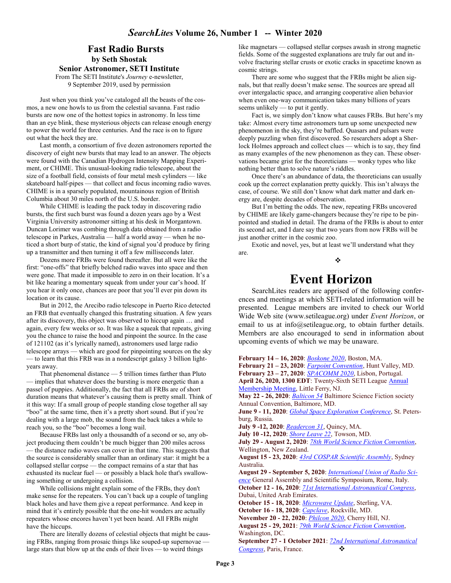#### Fast Radio Bursts by Seth Shostak

Senior Astronomer, SETI Institute

From The SETI Institute's Journey e-newsletter, 9 September 2019, used by permission

Just when you think you've cataloged all the beasts of the cosmos, a new one howls to us from the celestial savanna. Fast radio bursts are now one of the hottest topics in astronomy. In less time than an eye blink, these mysterious objects can release enough energy to power the world for three centuries. And the race is on to figure out what the heck they are.

Last month, a consortium of five dozen astronomers reported the discovery of eight new bursts that may lead to an answer. The objects were found with the Canadian Hydrogen Intensity Mapping Experiment, or CHIME. This unusual-looking radio telescope, about the size of a football field, consists of four metal mesh cylinders — like skateboard half-pipes — that collect and focus incoming radio waves. CHIME is in a sparsely populated, mountainous region of British Columbia about 30 miles north of the U.S. border.

While CHIME is leading the pack today in discovering radio bursts, the first such burst was found a dozen years ago by a West Virginia University astronomer sitting at his desk in Morgantown. Duncan Lorimer was combing through data obtained from a radio telescope in Parkes, Australia — half a world away — when he noticed a short burp of static, the kind of signal you'd produce by firing up a transmitter and then turning it off a few milliseconds later.

Dozens more FRBs were found thereafter. But all were like the first: "one-offs" that briefly belched radio waves into space and then were gone. That made it impossible to zero in on their location. It's a bit like hearing a momentary squeak from under your car's hood. If you hear it only once, chances are poor that you'll ever pin down its location or its cause.

But in 2012, the Arecibo radio telescope in Puerto Rico detected an FRB that eventually changed this frustrating situation. A few years after its discovery, this object was observed to hiccup again … and again, every few weeks or so. It was like a squeak that repeats, giving you the chance to raise the hood and pinpoint the source. In the case of 121102 (as it's lyrically named), astronomers used large radio telescope arrays — which are good for pinpointing sources on the sky — to learn that this FRB was in a nondescript galaxy 3 billion lightyears away.

That phenomenal distance — 5 trillion times farther than Pluto — implies that whatever does the bursting is more energetic than a passel of puppies. Additionally, the fact that all FRBs are of short duration means that whatever's causing them is pretty small. Think of it this way: If a small group of people standing close together all say "boo" at the same time, then it's a pretty short sound. But if you're dealing with a large mob, the sound from the back takes a while to reach you, so the "boo" becomes a long wail.

Because FRBs last only a thousandth of a second or so, any object producing them couldn't be much bigger than 200 miles across — the distance radio waves can cover in that time. This suggests that the source is considerably smaller than an ordinary star: it might be a collapsed stellar corpse — the compact remains of a star that has exhausted its nuclear fuel — or possibly a black hole that's swallowing something or undergoing a collision.

While collisions might explain some of the FRBs, they don't make sense for the repeaters. You can't back up a couple of tangling black holes and have them give a repeat performance. And keep in mind that it's entirely possible that the one-hit wonders are actually repeaters whose encores haven't yet been heard. All FRBs might have the hiccups.

There are literally dozens of celestial objects that might be causing FRBs, ranging from prosaic things like souped-up supernovae large stars that blow up at the ends of their lives — to weird things

like magnetars — collapsed stellar corpses awash in strong magnetic fields. Some of the suggested explanations are truly far out and involve fracturing stellar crusts or exotic cracks in spacetime known as cosmic strings.

There are some who suggest that the FRBs might be alien signals, but that really doesn't make sense. The sources are spread all over intergalactic space, and arranging cooperative alien behavior when even one-way communication takes many billions of years seems unlikely — to put it gently.

Fact is, we simply don't know what causes FRBs. But here's my take: Almost every time astronomers turn up some unexpected new phenomenon in the sky, they're baffled. Quasars and pulsars were deeply puzzling when first discovered. So researchers adopt a Sherlock Holmes approach and collect clues — which is to say, they find as many examples of the new phenomenon as they can. These observations became grist for the theoreticians — wonky types who like nothing better than to solve nature's riddles.

Once there's an abundance of data, the theoreticians can usually cook up the correct explanation pretty quickly. This isn't always the case, of course. We still don't know what dark matter and dark energy are, despite decades of observation.

But I'm betting the odds. The new, repeating FRBs uncovered by CHIME are likely game-changers because they're ripe to be pinpointed and studied in detail. The drama of the FRBs is about to enter its second act, and I dare say that two years from now FRBs will be just another critter in the cosmic zoo.

Exotic and novel, yes, but at least we'll understand what they are.

# ٠

# Event Horizon

SearchLites readers are apprised of the following conferences and meetings at which SETI-related information will be presented. League members are invited to check our World Wide Web site (www.setileague.org) under Event Horizon, or email to us at info@setileague.org, to obtain further details. Members are also encouraged to send in information about upcoming events of which we may be unaware.

February 14 - 16, 2020: **Boskone 2020**, Boston, MA. February 21 – 23, 2020: *Farpoint Convention*, Hunt Valley, MD. February 23 - 27, 2020: SPACOMM 2020, Lisbon, Portugal. April 26, 2020, 1300 EDT: Twenty-Sixth SETI League **Annual** Membership Meeting, Little Ferry, NJ. May 22 - 26, 2020: Balticon 54 Baltimore Science Fiction society Annual Convention, Baltimore, MD. June 9 - 11, 2020: Global Space Exploration Conference, St. Petersburg, Russia. July 9 -12, 2020: Readercon 31, Quincy, MA. July 10 -12, 2020: **Shore Leave 22**, Towson, MD. July 29 - August 2, 2020: 78th World Science Fiction Convention, Wellington, New Zealand. August 15 - 23, 2020: 43rd COSPAR Scientific Assembly, Sydney Australia. August 29 - September 5, 2020: *International Union of Radio Sci***ence General Assembly and Scientific Symposium, Rome, Italy.** October 12 - 16, 2020: 71st International Astronautical Congress, Dubai, United Arab Emirates. October 15 - 18, 2020: Microwave Update, Sterling, VA. October 16 - 18, 2020: Capclave, Rockville, MD. November 20 - 22, 2020: *Philcon 2020*, Cherry Hill, NJ. August 25 - 29, 2021: 79th World Science Fiction Convention, Washington, DC. September 27 - 1 October 2021: **72nd International Astronautical** Congress, Paris, France. ❖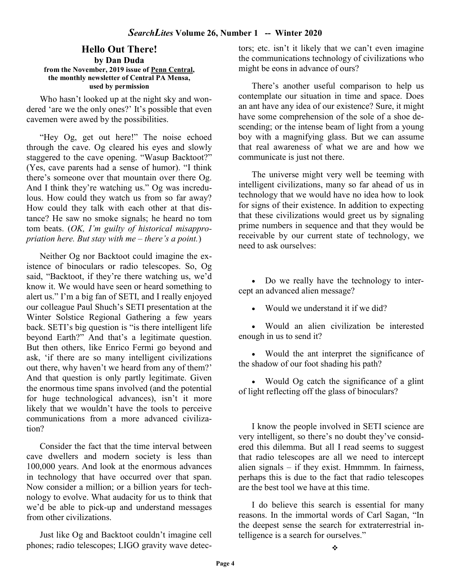#### Hello Out There! by Dan Duda from the November, 2019 issue of Penn Central, the monthly newsletter of Central PA Mensa, used by permission

Who hasn't looked up at the night sky and wondered 'are we the only ones?' It's possible that even cavemen were awed by the possibilities.

"Hey Og, get out here!" The noise echoed through the cave. Og cleared his eyes and slowly staggered to the cave opening. "Wasup Backtoot?" (Yes, cave parents had a sense of humor). "I think there's someone over that mountain over there Og. And I think they're watching us." Og was incredulous. How could they watch us from so far away? How could they talk with each other at that distance? He saw no smoke signals; he heard no tom tom beats. (OK, I'm guilty of historical misappropriation here. But stay with  $me$  – there's a point.)

Neither Og nor Backtoot could imagine the existence of binoculars or radio telescopes. So, Og said, "Backtoot, if they're there watching us, we'd know it. We would have seen or heard something to alert us." I'm a big fan of SETI, and I really enjoyed our colleague Paul Shuch's SETI presentation at the Winter Solstice Regional Gathering a few years back. SETI's big question is "is there intelligent life beyond Earth?" And that's a legitimate question. But then others, like Enrico Fermi go beyond and ask, 'if there are so many intelligent civilizations out there, why haven't we heard from any of them?' And that question is only partly legitimate. Given the enormous time spans involved (and the potential for huge technological advances), isn't it more likely that we wouldn't have the tools to perceive communications from a more advanced civilization?

Consider the fact that the time interval between cave dwellers and modern society is less than 100,000 years. And look at the enormous advances in technology that have occurred over that span. Now consider a million; or a billion years for technology to evolve. What audacity for us to think that we'd be able to pick-up and understand messages from other civilizations.

Just like Og and Backtoot couldn't imagine cell phones; radio telescopes; LIGO gravity wave detectors; etc. isn't it likely that we can't even imagine the communications technology of civilizations who might be eons in advance of ours?

There's another useful comparison to help us contemplate our situation in time and space. Does an ant have any idea of our existence? Sure, it might have some comprehension of the sole of a shoe descending; or the intense beam of light from a young boy with a magnifying glass. But we can assume that real awareness of what we are and how we communicate is just not there.

The universe might very well be teeming with intelligent civilizations, many so far ahead of us in technology that we would have no idea how to look for signs of their existence. In addition to expecting that these civilizations would greet us by signaling prime numbers in sequence and that they would be receivable by our current state of technology, we need to ask ourselves:

• Do we really have the technology to intercept an advanced alien message?

Would we understand it if we did?

 Would an alien civilization be interested enough in us to send it?

 Would the ant interpret the significance of the shadow of our foot shading his path?

 Would Og catch the significance of a glint of light reflecting off the glass of binoculars?

I know the people involved in SETI science are very intelligent, so there's no doubt they've considered this dilemma. But all I read seems to suggest that radio telescopes are all we need to intercept alien signals – if they exist. Hmmmm. In fairness, perhaps this is due to the fact that radio telescopes are the best tool we have at this time.

I do believe this search is essential for many reasons. In the immortal words of Carl Sagan, "In the deepest sense the search for extraterrestrial intelligence is a search for ourselves."